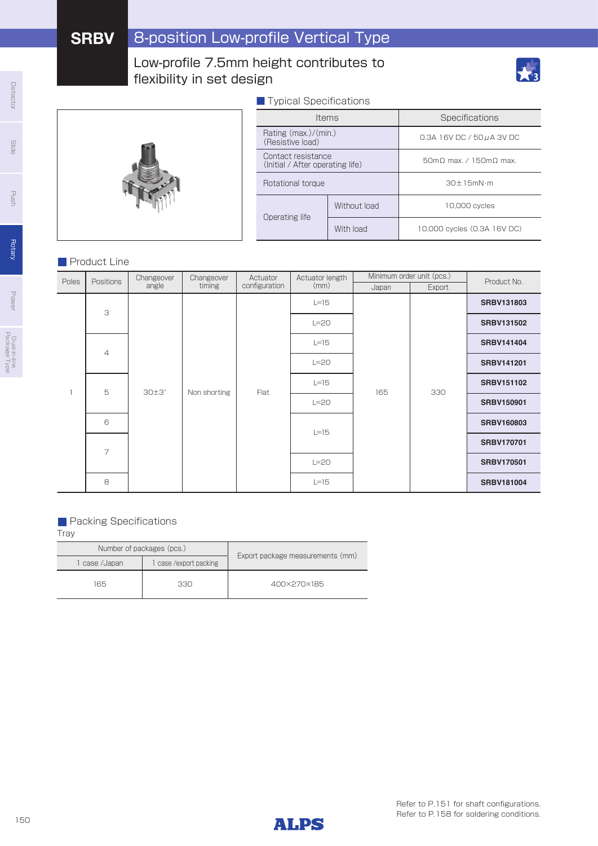## Low-profile 7.5mm height contributes to flexibility in set design



## ■ Typical Specifications

|                                                        | <b>Items</b> | Specifications              |  |  |
|--------------------------------------------------------|--------------|-----------------------------|--|--|
| Rating $(max.)/(min.)$<br>(Resistive load)             |              | 0.3A 16V DC / 50 u A 3V DC  |  |  |
| Contact resistance<br>(Initial / After operating life) |              | 50m0 max. / 150m0 max.      |  |  |
| Rotational torque                                      |              | $30 + 15mN \cdot m$         |  |  |
| Operating life                                         | Without load | 10,000 cycles               |  |  |
|                                                        | With load    | 10,000 cycles (0.3A 16V DC) |  |  |

### **Product Line**

|       |                | Actuator<br>Changeover<br>Changeover  |              | Actuator length | Minimum order unit (pcs.) |        | Product No. |                   |                   |        |  |  |  |                   |  |  |  |  |  |        |  |  |                   |
|-------|----------------|---------------------------------------|--------------|-----------------|---------------------------|--------|-------------|-------------------|-------------------|--------|--|--|--|-------------------|--|--|--|--|--|--------|--|--|-------------------|
| Poles | Positions      | angle                                 | timing       | configuration   | (mm)                      | Japan  | Export      |                   |                   |        |  |  |  |                   |  |  |  |  |  |        |  |  |                   |
|       | 3              |                                       |              |                 |                           | $L=15$ |             |                   | <b>SRBV131803</b> |        |  |  |  |                   |  |  |  |  |  |        |  |  |                   |
|       |                |                                       |              | Flat            |                           | $L=20$ |             |                   | <b>SRBV131502</b> |        |  |  |  |                   |  |  |  |  |  |        |  |  |                   |
|       |                | $\overline{4}$<br>5<br>$30\pm3^\circ$ | Non shorting |                 | $L=15$                    | 165    | 330         | <b>SRBV141404</b> |                   |        |  |  |  |                   |  |  |  |  |  |        |  |  |                   |
|       |                |                                       |              |                 | $L=20$                    |        |             | <b>SRBV141201</b> |                   |        |  |  |  |                   |  |  |  |  |  |        |  |  |                   |
|       |                |                                       |              |                 | $L=15$                    |        |             | <b>SRBV151102</b> |                   |        |  |  |  |                   |  |  |  |  |  |        |  |  |                   |
|       |                |                                       |              |                 | $L=20$                    |        |             | <b>SRBV150901</b> |                   |        |  |  |  |                   |  |  |  |  |  |        |  |  |                   |
|       | 6              |                                       |              |                 |                           |        |             |                   |                   |        |  |  |  |                   |  |  |  |  |  | $L=15$ |  |  | <b>SRBV160803</b> |
|       | $\overline{7}$ |                                       |              |                 |                           |        |             |                   |                   |        |  |  |  |                   |  |  |  |  |  |        |  |  |                   |
|       |                |                                       |              |                 |                           |        |             |                   |                   | $L=20$ |  |  |  | <b>SRBV170501</b> |  |  |  |  |  |        |  |  |                   |
|       | 8              |                                       |              |                 | $L=15$                    |        |             | <b>SRBV181004</b> |                   |        |  |  |  |                   |  |  |  |  |  |        |  |  |                   |

### **Packing Specifications**

| Number of packages (pcs.) |                     |                                  |  |  |
|---------------------------|---------------------|----------------------------------|--|--|
| l case /Japan             | case/export packing | Export package measurements (mm) |  |  |
| 165                       | 330                 | 400×270×185                      |  |  |



Detector

Power

Dual-in-line Package Type

Dual-in-line<br>Package Type

Push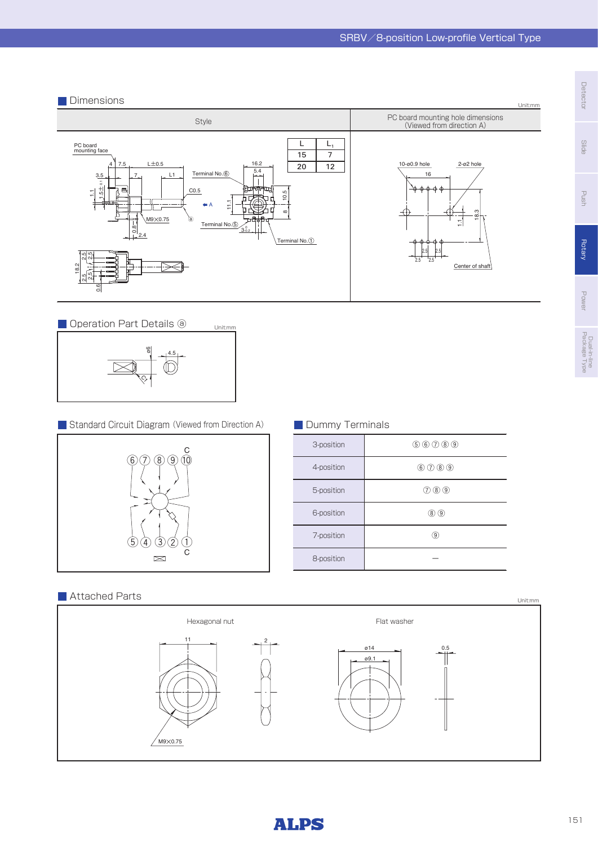





**Standard Circuit Diagram (Viewed from Direction A)** 

Unit:mm



## **Dummy Terminals**

| 3-position | $(5)$ (6) (7) (8) (9)                        |
|------------|----------------------------------------------|
| 4-position | $\circledcirc$ $\circledcirc$ $\circledcirc$ |
| 5-position | (7000)                                       |
| 6-position | (8) (9                                       |
| 7-position | 9                                            |
| 8-position |                                              |

## $\blacksquare$  Attached Parts Unit:mm





Slide

Power

Dual-in-line Package Type

Dual-in-line<br>Package Type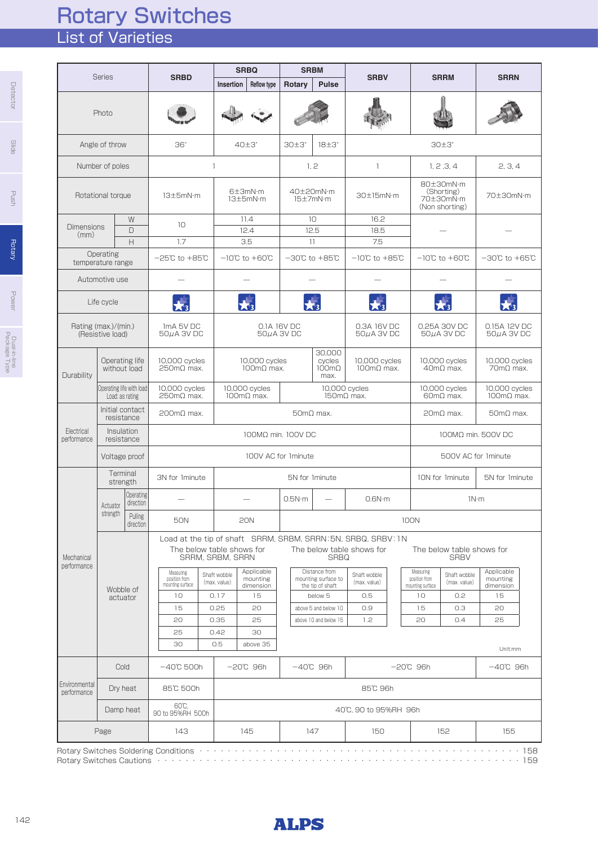# List of Varieties Rotary Switches

|                              |                                                                              |                                                                                                               |                                               | <b>SRBQ</b>                                                                          |                           | <b>SRBM</b>                                              |                                                                                                                 |                                   |                                                        |                                           |                                     |       |
|------------------------------|------------------------------------------------------------------------------|---------------------------------------------------------------------------------------------------------------|-----------------------------------------------|--------------------------------------------------------------------------------------|---------------------------|----------------------------------------------------------|-----------------------------------------------------------------------------------------------------------------|-----------------------------------|--------------------------------------------------------|-------------------------------------------|-------------------------------------|-------|
|                              | <b>Series</b>                                                                | <b>SRBD</b>                                                                                                   | Insertion                                     | <b>Reflow type</b>                                                                   | Rotary                    | <b>Pulse</b>                                             | <b>SRBV</b>                                                                                                     |                                   |                                                        | <b>SRRM</b>                               | <b>SRRN</b>                         |       |
|                              | Photo                                                                        |                                                                                                               |                                               |                                                                                      |                           |                                                          |                                                                                                                 |                                   |                                                        |                                           |                                     |       |
|                              | Angle of throw                                                               | 36°                                                                                                           |                                               | $40\pm3^\circ$                                                                       | $30 \pm 3$                | $18\pm3^\circ$                                           | $30 \pm 3^\circ$                                                                                                |                                   |                                                        |                                           |                                     |       |
|                              | Number of poles                                                              |                                                                                                               | $\mathbf{1}$                                  |                                                                                      |                           | 1, 2                                                     | 1                                                                                                               |                                   |                                                        | 1, 2, 3, 4                                | 2, 3, 4                             |       |
|                              | Rotational torque                                                            | 13±5mN·m                                                                                                      |                                               | 6±3mN·m<br>13±5mN·m                                                                  |                           | 40±20mN·m<br>15±7mN·m                                    | 30±15mN·m                                                                                                       |                                   | 80±30mN·m<br>(Shorting)<br>70±30mN·m<br>(Non shorting) | 70±30mN·m                                 |                                     |       |
| <b>Dimensions</b>            | W                                                                            | 10 <sup>°</sup>                                                                                               |                                               | 11.4                                                                                 |                           | 10                                                       | 16.2                                                                                                            |                                   |                                                        |                                           |                                     |       |
| (mm)                         | $\Box$<br>H                                                                  | 1.7                                                                                                           |                                               | 12.4<br>3.5                                                                          |                           | 12.5<br>11                                               | 18.5<br>7.5                                                                                                     |                                   |                                                        |                                           |                                     |       |
|                              | Operating<br>temperature range                                               | $-25^{\circ}\text{C}$ to $+85^{\circ}\text{C}$                                                                |                                               | $-10^{\circ}$ C to $+60^{\circ}$ C                                                   |                           | $-30^{\circ}$ C to $+85^{\circ}$ C                       | $-10^{\circ}$ C to $+85^{\circ}$ C                                                                              |                                   |                                                        | $-10^{\circ}$ C to $+60^{\circ}$ C        | $-30^{\circ}$ C to $+65^{\circ}$ C  |       |
|                              | Automotive use                                                               |                                                                                                               |                                               |                                                                                      |                           |                                                          |                                                                                                                 |                                   |                                                        |                                           |                                     |       |
|                              | Life cycle                                                                   |                                                                                                               |                                               |                                                                                      |                           |                                                          |                                                                                                                 |                                   |                                                        |                                           |                                     |       |
|                              | Rating (max.)/(min.)<br>(Resistive load)                                     | ImA 5V DC<br>50µA 3V DC                                                                                       |                                               |                                                                                      | 0.1A 16V DC<br>50µA 3V DC |                                                          | 0.3A 16V DC<br>$50\mu$ A 3V DC                                                                                  |                                   |                                                        | 0.25A 30V DC<br>$50\mu$ A 3V DC           | 0.15A 12V DC<br>$50\mu$ A 3V DC     |       |
| Durability                   | Operating life<br>10,000 cycles<br>without load<br>$250 \text{m}\Omega$ max. |                                                                                                               |                                               | 30.000<br>10,000 cycles<br>cycles<br>$100 \text{mA}$ max.<br>$100 \text{mA}$<br>max. |                           | 10,000 cycles<br>$100 \text{m}\Omega$ max.               |                                                                                                                 | 10,000 cycles<br>$40m\Omega$ max. |                                                        | 10,000 cycles<br>$70 \text{m}\Omega$ max. |                                     |       |
|                              | Operating life with load<br>Load: as rating                                  | 10,000 cycles<br>$250 \text{m}\Omega$ max.                                                                    |                                               | 10,000 cycles<br>$100 \text{mA}$ max.                                                |                           | 10,000 cycles<br>$150 \text{m}\Omega$ max.               |                                                                                                                 |                                   | 10,000 cycles<br>$60m\Omega$ max.                      | 10,000 cycles<br>$100 \text{mA}$ max.     |                                     |       |
|                              | Initial contact<br>resistance                                                | $200 \text{mA}$ max.                                                                                          |                                               |                                                                                      |                           | $50 \text{m}\Omega$ max.                                 |                                                                                                                 | $20m\Omega$ max.                  | $50 \text{m}\Omega$ max.                               |                                           |                                     |       |
| Electrical<br>performance    | Insulation<br>resistance                                                     |                                                                                                               |                                               | 100MΩ min. 100V DC                                                                   |                           |                                                          |                                                                                                                 |                                   | 100MΩ min. 500V DC                                     |                                           |                                     |       |
|                              | Voltage proof                                                                |                                                                                                               |                                               | 100V AC for 1minute                                                                  |                           |                                                          |                                                                                                                 |                                   |                                                        | 500V AC for 1minute                       |                                     |       |
|                              | Terminal<br>strength                                                         | 3N for 1minute                                                                                                |                                               |                                                                                      |                           | 5N for 1minute                                           |                                                                                                                 |                                   |                                                        | 10N for 1minute                           | 5N for 1minute                      |       |
|                              | Operating<br>direction<br>Actuator                                           |                                                                                                               |                                               |                                                                                      | 0.5N·m                    |                                                          | 0.6N·m                                                                                                          |                                   |                                                        | 1N·m                                      |                                     |       |
|                              | strength<br>Pulling<br>direction                                             | <b>50N</b>                                                                                                    |                                               | <b>20N</b>                                                                           |                           |                                                          |                                                                                                                 |                                   | <b>100N</b>                                            |                                           |                                     |       |
| Mechanical<br>performance    |                                                                              |                                                                                                               | The below table shows for<br>SRRM, SRBM, SRRN |                                                                                      |                           | <b>SRBQ</b>                                              | Load at the tip of shaft SRRM, SRBM, SRRN: 5N, SRBQ, SRBV: 1N<br>The below table shows for                      |                                   |                                                        | The below table shows for<br><b>SRBV</b>  |                                     |       |
|                              | Wobble of                                                                    | Measuring<br>position from<br>mounting surface                                                                | Shaft wobble<br>(max. value)                  | Applicable<br>mounting<br>dimension                                                  |                           | Distance from<br>mounting surface to<br>the tip of shaft | Shaft wobble<br>(max. value)                                                                                    |                                   | Measuring<br>position from<br>mounting surface         | Shaft wobble<br>(max. value)              | Applicable<br>mounting<br>dimension |       |
|                              | actuator                                                                     | 10                                                                                                            | 0.17                                          | 15                                                                                   |                           | below 5                                                  | 0.5                                                                                                             |                                   | 10                                                     | 0.2                                       | 15                                  |       |
|                              |                                                                              | 15                                                                                                            | 0.25                                          | 20                                                                                   |                           | above 5 and below 10                                     | 0.9                                                                                                             |                                   | 15                                                     | O.3                                       | 20                                  |       |
|                              |                                                                              | 20<br>25                                                                                                      | 0.35<br>0.42                                  | 25<br>30                                                                             |                           | above 10 and below 15                                    | 1.2                                                                                                             |                                   | 20                                                     | 0.4                                       | 25                                  |       |
|                              |                                                                              | 30                                                                                                            | 0.5                                           | above 35                                                                             |                           |                                                          |                                                                                                                 |                                   |                                                        |                                           | Unit:mm                             |       |
|                              | Cold                                                                         | $-40^{\circ}$ C 500h                                                                                          |                                               | −20℃ 96h                                                                             |                           | $-40^\circ$ C 96h                                        |                                                                                                                 |                                   | $-20^{\circ}$ C 96h                                    |                                           | $-40^{\circ}$ C 96h                 |       |
| Environmental<br>performance | Dry heat                                                                     | 85°C 500h                                                                                                     |                                               |                                                                                      |                           |                                                          | 85°C 96h                                                                                                        |                                   |                                                        |                                           |                                     |       |
|                              | Damp heat                                                                    | 60°C.<br>90 to 95%RH 500h                                                                                     |                                               |                                                                                      |                           |                                                          | 40°C, 90 to 95%RH 96h                                                                                           |                                   |                                                        |                                           |                                     |       |
|                              | Page                                                                         | 143                                                                                                           |                                               | 145                                                                                  |                           | 147                                                      | 150                                                                                                             |                                   |                                                        | 152                                       | 155                                 |       |
|                              |                                                                              | Rotary Switches Soldering Conditions (et al., et al., et al., et al., et al., et al., et al., et al., et al., |                                               |                                                                                      |                           |                                                          | the contract of the contract of the contract of the contract of the contract of the contract of the contract of |                                   |                                                        |                                           |                                     | . 158 |

Rotary Switches Soldering Conditions ・・・・・・・・・・・・・・・・・・・・・・・・・・・・・・・・・・・・・・・・・・・・・・158 Rotary Switches Cautions ・・・・・・・・・・・・・・・・・・・・・・・・・・・・・・・・・・・・・・・・・・・・・・・・・・・・159

Slide

**Detector** 

Push